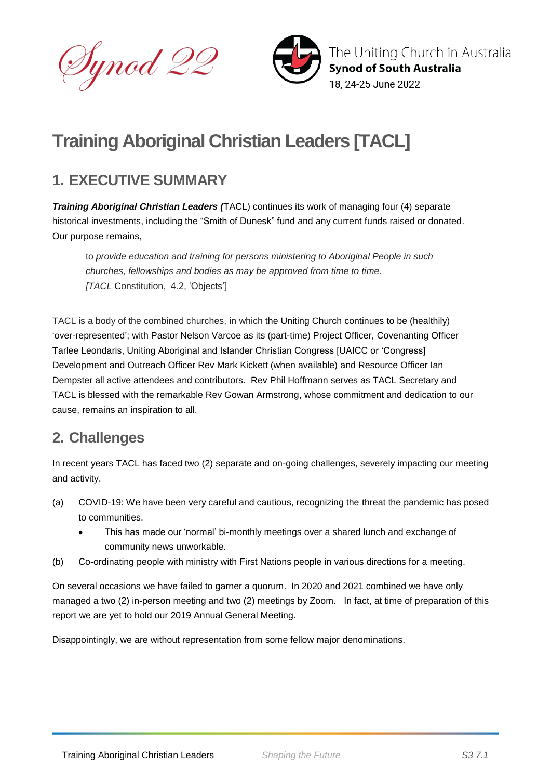



# **Training Aboriginal Christian Leaders [TACL]**

## **1. EXECUTIVE SUMMARY**

*Training Aboriginal Christian Leaders (*TACL) continues its work of managing four (4) separate historical investments, including the "Smith of Dunesk" fund and any current funds raised or donated. Our purpose remains,

to *provide education and training for persons ministering to Aboriginal People in such churches, fellowships and bodies as may be approved from time to time. [TACL* Constitution, 4.2, 'Objects']

TACL is a body of the combined churches, in which the Uniting Church continues to be (healthily) 'over-represented'; with Pastor Nelson Varcoe as its (part-time) Project Officer, Covenanting Officer Tarlee Leondaris, Uniting Aboriginal and Islander Christian Congress [UAICC or 'Congress] Development and Outreach Officer Rev Mark Kickett (when available) and Resource Officer Ian Dempster all active attendees and contributors. Rev Phil Hoffmann serves as TACL Secretary and TACL is blessed with the remarkable Rev Gowan Armstrong, whose commitment and dedication to our cause, remains an inspiration to all.

#### **2. Challenges**

In recent years TACL has faced two (2) separate and on-going challenges, severely impacting our meeting and activity.

- (a) COVID-19: We have been very careful and cautious, recognizing the threat the pandemic has posed to communities.
	- This has made our 'normal' bi-monthly meetings over a shared lunch and exchange of community news unworkable.
- (b) Co-ordinating people with ministry with First Nations people in various directions for a meeting.

On several occasions we have failed to garner a quorum. In 2020 and 2021 combined we have only managed a two (2) in-person meeting and two (2) meetings by Zoom. In fact, at time of preparation of this report we are yet to hold our 2019 Annual General Meeting.

Disappointingly, we are without representation from some fellow major denominations.